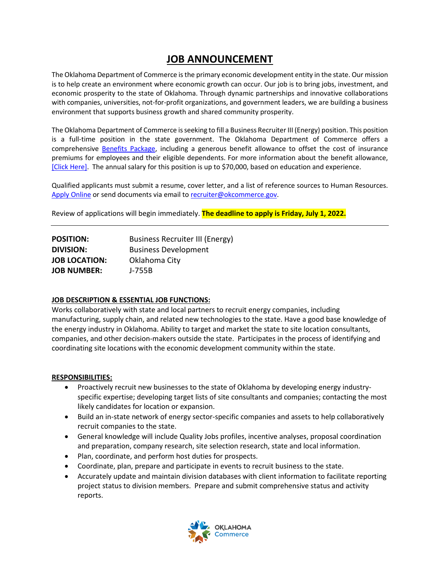# **JOB ANNOUNCEMENT**

The Oklahoma Department of Commerce is the primary economic development entity in the state. Our mission is to help create an environment where economic growth can occur. Our job is to bring jobs, investment, and economic prosperity to the state of Oklahoma. Through dynamic partnerships and innovative collaborations with companies, universities, not-for-profit organizations, and government leaders, we are building a business environment that supports business growth and shared community prosperity.

The Oklahoma Department of Commerce is seeking to fill a Business Recruiter III (Energy) position. This position is a full-time position in the state government. The Oklahoma Department of Commerce offers a comprehensive [Benefits Package,](https://oklahoma.gov/omes/services/employee-benefits.html) including a generous benefit allowance to offset the cost of insurance premiums for employees and their eligible dependents. For more information about the benefit allowance, [\[Click Here\].](https://oklahoma.gov/content/dam/ok/en/employee-benefits/documents/2022-forms/2022-Monthly-Rates.pdf) The annual salary for this position is up to \$70,000, based on education and experience.

Qualified applicants must submit a resume, cover letter, and a list of reference sources to Human Resources. [Apply Online](https://form.jotform.com/200236307786152) or send documents via email to [recruiter@okcommerce.gov.](mailto:recruiter@okcommerce.gov)

Review of applications will begin immediately. **The deadline to apply is Friday, July 1, 2022.**

| <b>Business Recruiter III (Energy)</b> |
|----------------------------------------|
|                                        |
|                                        |
|                                        |
|                                        |

## **JOB DESCRIPTION & ESSENTIAL JOB FUNCTIONS:**

Works collaboratively with state and local partners to recruit energy companies, including manufacturing, supply chain, and related new technologies to the state. Have a good base knowledge of the energy industry in Oklahoma. Ability to target and market the state to site location consultants, companies, and other decision-makers outside the state. Participates in the process of identifying and coordinating site locations with the economic development community within the state.

### **RESPONSIBILITIES:**

- Proactively recruit new businesses to the state of Oklahoma by developing energy industryspecific expertise; developing target lists of site consultants and companies; contacting the most likely candidates for location or expansion.
- Build an in-state network of energy sector-specific companies and assets to help collaboratively recruit companies to the state.
- General knowledge will include Quality Jobs profiles, incentive analyses, proposal coordination and preparation, company research, site selection research, state and local information.
- Plan, coordinate, and perform host duties for prospects.
- Coordinate, plan, prepare and participate in events to recruit business to the state.
- Accurately update and maintain division databases with client information to facilitate reporting project status to division members. Prepare and submit comprehensive status and activity reports.